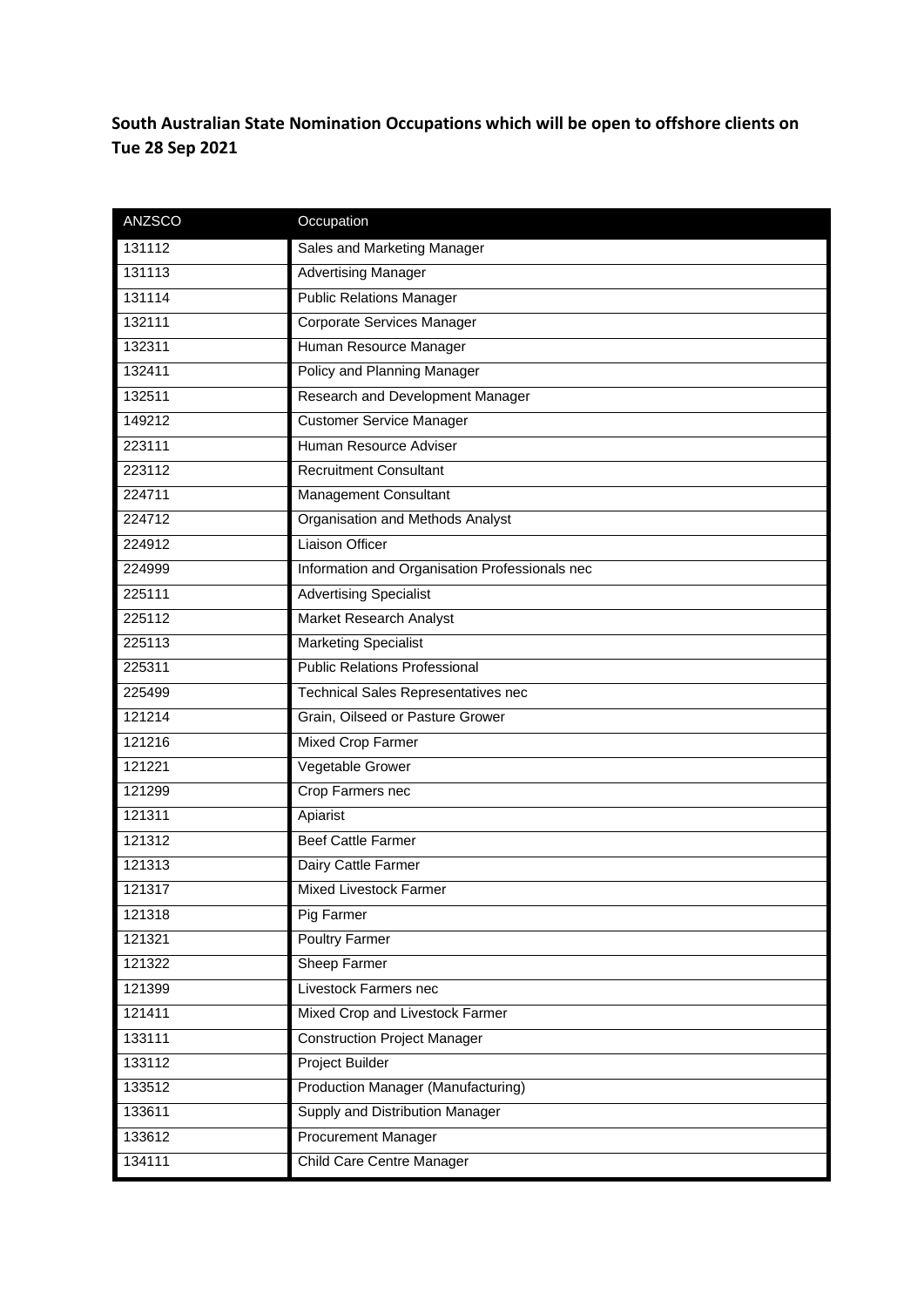**South Australian State Nomination Occupations which will be open to offshore clients on Tue 28 Sep 2021**

| <b>ANZSCO</b> | Occupation                                     |
|---------------|------------------------------------------------|
| 131112        | Sales and Marketing Manager                    |
| 131113        | <b>Advertising Manager</b>                     |
| 131114        | <b>Public Relations Manager</b>                |
| 132111        | Corporate Services Manager                     |
| 132311        | Human Resource Manager                         |
| 132411        | <b>Policy and Planning Manager</b>             |
| 132511        | Research and Development Manager               |
| 149212        | <b>Customer Service Manager</b>                |
| 223111        | Human Resource Adviser                         |
| 223112        | <b>Recruitment Consultant</b>                  |
| 224711        | Management Consultant                          |
| 224712        | Organisation and Methods Analyst               |
| 224912        | <b>Liaison Officer</b>                         |
| 224999        | Information and Organisation Professionals nec |
| 225111        | <b>Advertising Specialist</b>                  |
| 225112        | <b>Market Research Analyst</b>                 |
| 225113        | <b>Marketing Specialist</b>                    |
| 225311        | <b>Public Relations Professional</b>           |
| 225499        | <b>Technical Sales Representatives nec</b>     |
| 121214        | Grain, Oilseed or Pasture Grower               |
| 121216        | <b>Mixed Crop Farmer</b>                       |
| 121221        | Vegetable Grower                               |
| 121299        | Crop Farmers nec                               |
| 121311        | Apiarist                                       |
| 121312        | <b>Beef Cattle Farmer</b>                      |
| 121313        | Dairy Cattle Farmer                            |
| 121317        | <b>Mixed Livestock Farmer</b>                  |
| 121318        | Pig Farmer                                     |
| 121321        | <b>Poultry Farmer</b>                          |
| 121322        | Sheep Farmer                                   |
| 121399        | Livestock Farmers nec                          |
| 121411        | Mixed Crop and Livestock Farmer                |
| 133111        | <b>Construction Project Manager</b>            |
| 133112        | Project Builder                                |
| 133512        | Production Manager (Manufacturing)             |
| 133611        | Supply and Distribution Manager                |
| 133612        | <b>Procurement Manager</b>                     |
| 134111        | Child Care Centre Manager                      |